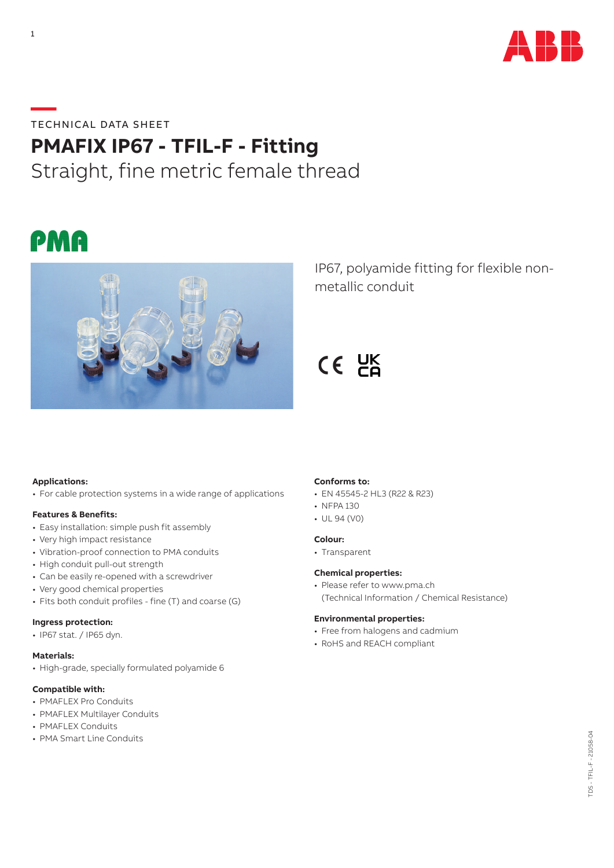

# **—**TECHNICAL DATA SHEET

# **PMAFIX IP67 - TFIL-F - Fitting**

Straight, fine metric female thread





IP67, polyamide fitting for flexible nonmetallic conduit

 $CE$   $E$ 

# **Applications:**

• For cable protection systems in a wide range of applications

### **Features & Benefits:**

- Easy installation: simple push fit assembly
- Very high impact resistance
- Vibration-proof connection to PMA conduits
- High conduit pull-out strength
- Can be easily re-opened with a screwdriver
- Very good chemical properties
- Fits both conduit profiles fine (T) and coarse (G)

#### **Ingress protection:**

• IP67 stat. / IP65 dyn.

#### **Materials:**

• High-grade, specially formulated polyamide 6

### **Compatible with:**

- PMAFLEX Pro Conduits
- PMAFLEX Multilayer Conduits
- PMAFLEX Conduits
- PMA Smart Line Conduits

# **Conforms to:**

- EN 45545-2 HL3 (R22 & R23)
- NFPA 130
- UL 94 (V0)

### **Colour:**

• Transparent

# **Chemical properties:**

• Please refer to www.pma.ch (Technical Information / Chemical Resistance)

#### **Environmental properties:**

- Free from halogens and cadmium
- RoHS and REACH compliant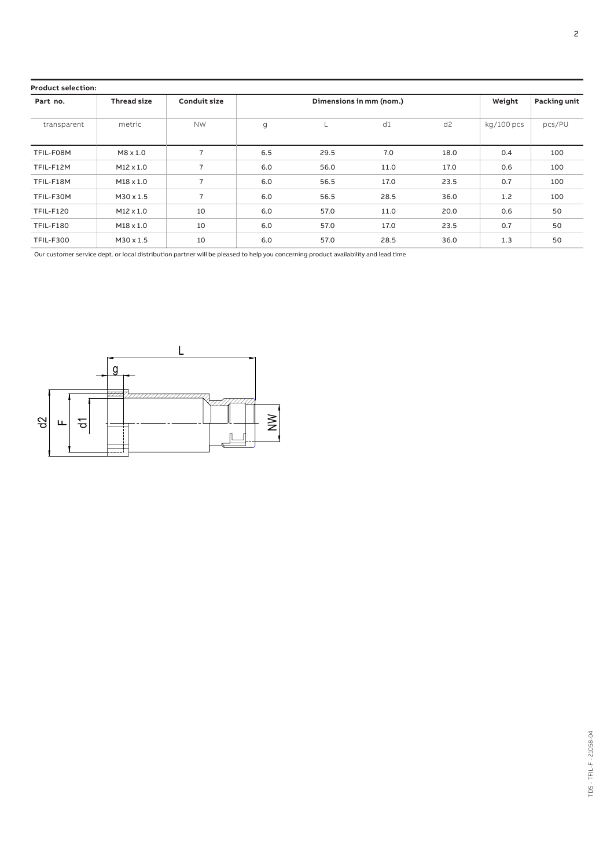#### **Product selection:**

| Part no.         | <b>Thread size</b> | <b>Conduit size</b> | Dimensions in mm (nom.) |      |      |                | Weight     | <b>Packing unit</b> |
|------------------|--------------------|---------------------|-------------------------|------|------|----------------|------------|---------------------|
| transparent      | metric             | <b>NW</b>           | g                       | L.   | d1   | d <sub>2</sub> | kg/100 pcs | pcs/PU              |
| TFIL-F08M        | $M8 \times 1.0$    | 7                   | 6.5                     | 29.5 | 7.0  | 18.0           | 0.4        | 100                 |
| TFIL-F12M        | $M12 \times 1.0$   | $\overline{7}$      | 6.0                     | 56.0 | 11.0 | 17.0           | 0.6        | 100                 |
| TFIL-F18M        | $M18 \times 1.0$   | $\overline{7}$      | 6.0                     | 56.5 | 17.0 | 23.5           | 0.7        | 100                 |
| TFIL-F30M        | $M30 \times 1.5$   | $\overline{7}$      | 6.0                     | 56.5 | 28.5 | 36.0           | 1.2        | 100                 |
| <b>TFIL-F120</b> | $M12 \times 1.0$   | 10                  | 6.0                     | 57.0 | 11.0 | 20.0           | 0.6        | 50                  |
| <b>TFIL-F180</b> | $M18 \times 1.0$   | 10                  | 6.0                     | 57.0 | 17.0 | 23.5           | 0.7        | 50                  |
| <b>TFIL-F300</b> | $M30 \times 1.5$   | 10                  | 6.0                     | 57.0 | 28.5 | 36.0           | 1.3        | 50                  |

Our customer service dept. or local distribution partner will be pleased to help you concerning product availability and lead time